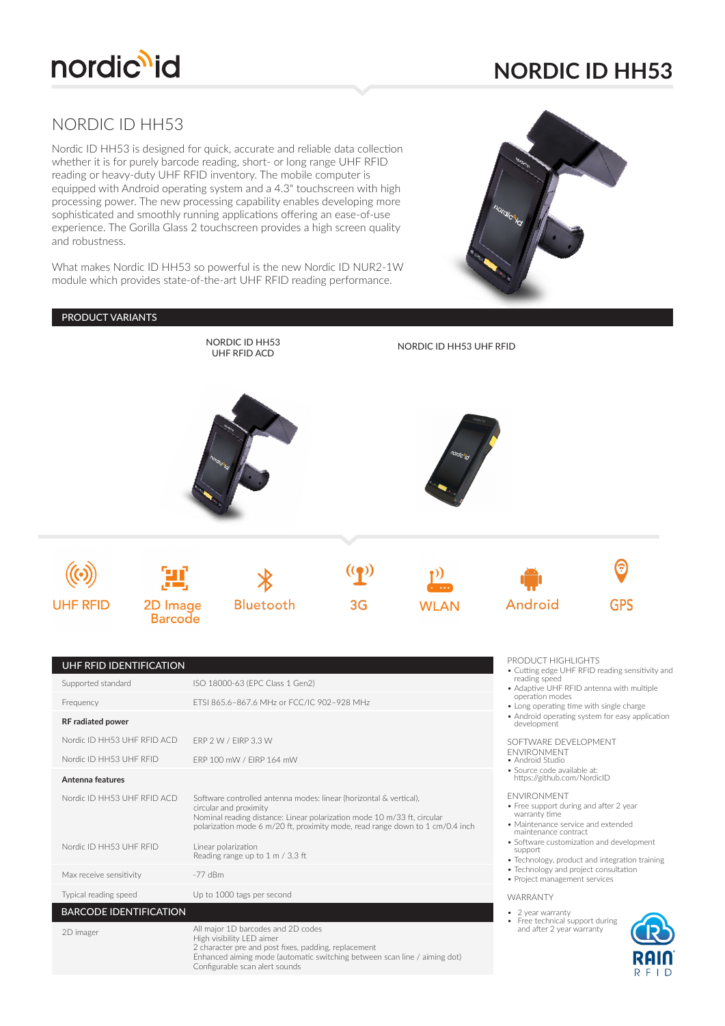

## **NORDIC ID HH53**

 $R$  F I D

### NORDIC ID HH53

Nordic ID HH53 is designed for quick, accurate and reliable data collection whether it is for purely barcode reading, short- or long range UHF RFID reading or heavy-duty UHF RFID inventory. The mobile computer is equipped with Android operating system and a 4.3" touchscreen with high processing power. The new processing capability enables developing more sophisticated and smoothly running applications offering an ease-of-use experience. The Gorilla Glass 2 touchscreen provides a high screen quality and robustness.

What makes Nordic ID HH53 so powerful is the new Nordic ID NUR2-1W module which provides state-of-the-art UHF RFID reading performance.

Configurable scan alert sounds



#### PRODUCT VARIANTS

|                                               |                            | NORDIC ID HH53<br><b>UHF RFID ACD</b>                                                                                                                                                                                                                    |    | NORDIC ID HH53 UHF RFID |                                                                                                                                             |                                                                                              |
|-----------------------------------------------|----------------------------|----------------------------------------------------------------------------------------------------------------------------------------------------------------------------------------------------------------------------------------------------------|----|-------------------------|---------------------------------------------------------------------------------------------------------------------------------------------|----------------------------------------------------------------------------------------------|
|                                               |                            |                                                                                                                                                                                                                                                          |    | ordicilia               |                                                                                                                                             |                                                                                              |
|                                               |                            |                                                                                                                                                                                                                                                          |    |                         |                                                                                                                                             |                                                                                              |
| <b>UHF RFID</b>                               | 2D Image<br><b>Barcode</b> | Bluetooth                                                                                                                                                                                                                                                | 3G | <b>WLAN</b>             | Android                                                                                                                                     | GPS                                                                                          |
| UHF RFID IDENTIFICATION<br>Supported standard |                            | ISO 18000-63 (EPC Class 1 Gen2)                                                                                                                                                                                                                          |    |                         | PRODUCT HIGHLIGHTS<br>reading speed<br>operation modes                                                                                      | • Cutting edge UHF RFID reading sensitivity and<br>• Adaptive UHF RFID antenna with multiple |
| Frequency<br><b>RF</b> radiated power         |                            | ETSI 865.6-867.6 MHz or FCC/IC 902-928 MHz                                                                                                                                                                                                               |    |                         | • Long operating time with single charge                                                                                                    | • Android operating system for easy application                                              |
| Nordic ID HH53 UHF RFID ACD                   |                            | ERP 2 W / EIRP 3.3 W                                                                                                                                                                                                                                     |    |                         | development<br>SOFTWARE DEVELOPMENT                                                                                                         |                                                                                              |
| Nordic ID HH53 UHF RFID                       |                            | ERP 100 mW / EIRP 164 mW                                                                                                                                                                                                                                 |    |                         | <b>ENVIRONMENT</b><br>• Android Studio                                                                                                      |                                                                                              |
| Antenna features                              |                            |                                                                                                                                                                                                                                                          |    |                         | · Source code available at:<br>https://github.com/NordicID                                                                                  |                                                                                              |
| Nordic ID HH53 UHF RFID ACD                   |                            | Software controlled antenna modes: linear (horizontal & vertical),<br>circular and proximity<br>Nominal reading distance: Linear polarization mode 10 m/33 ft, circular<br>polarization mode 6 m/20 ft, proximity mode, read range down to 1 cm/0.4 inch |    |                         | <b>ENVIRONMENT</b><br>• Free support during and after 2 year<br>warranty time<br>· Maintenance service and extended<br>maintenance contract |                                                                                              |
| Nordic ID HH53 UHF RFID                       |                            | Linear polarization<br>Reading range up to 1 m / 3.3 ft                                                                                                                                                                                                  |    |                         | support                                                                                                                                     | · Software customization and development                                                     |
| Max receive sensitivity                       | $-77$ dBm                  |                                                                                                                                                                                                                                                          |    |                         | • Technology and project consultation<br>• Project management services                                                                      | • Technology, product and integration training                                               |
| Typical reading speed                         |                            | Up to 1000 tags per second                                                                                                                                                                                                                               |    |                         | WARRANTY                                                                                                                                    |                                                                                              |
| <b>BARCODE IDENTIFICATION</b>                 |                            |                                                                                                                                                                                                                                                          |    |                         | • 2 year warranty<br>Free technical support during<br>٠                                                                                     |                                                                                              |
| 2D imager                                     |                            | All major 1D barcodes and 2D codes<br>High visibility LED aimer<br>2 character pre and post fixes, padding, replacement<br>Enhanced aiming mode (automatic switching between scan line / aiming dot)                                                     |    |                         | and after 2 year warranty                                                                                                                   |                                                                                              |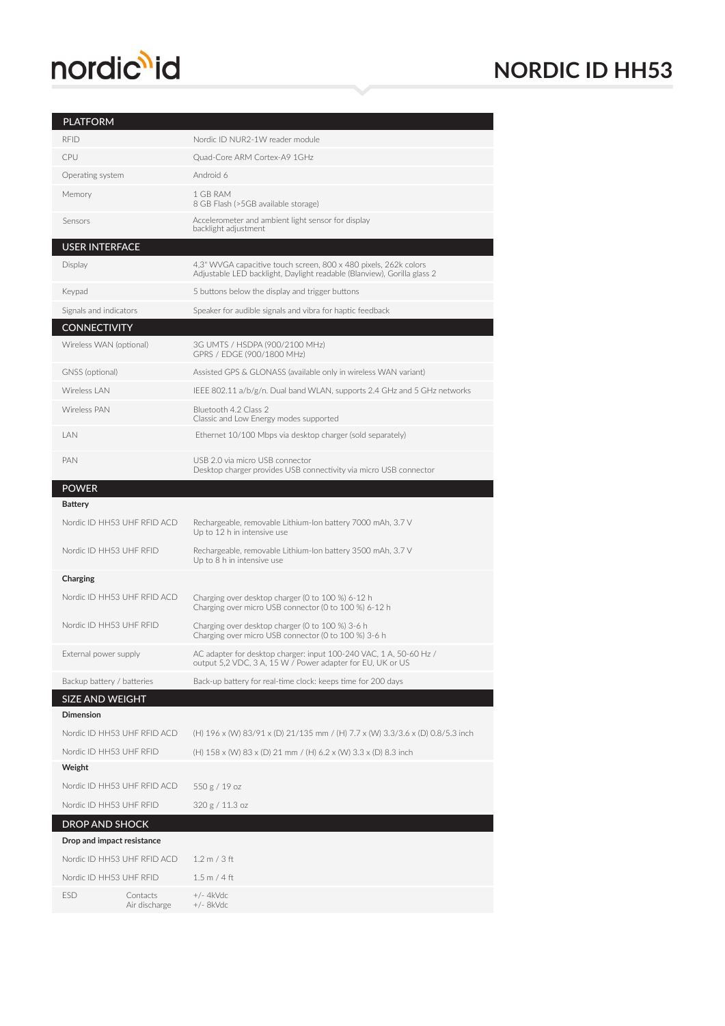# nordic<sup>1</sup>id

## **NORDIC ID HH53**

### PLATFORM

| <b>RFID</b>                                         |                             | Nordic ID NUR2-1W reader module                                                                                                             |  |  |  |  |
|-----------------------------------------------------|-----------------------------|---------------------------------------------------------------------------------------------------------------------------------------------|--|--|--|--|
| CPU                                                 |                             | Quad-Core ARM Cortex-A9 1GHz                                                                                                                |  |  |  |  |
| Operating system                                    |                             | Android 6                                                                                                                                   |  |  |  |  |
| Memory                                              |                             | 1 GB RAM<br>8 GB Flash (>5GB available storage)                                                                                             |  |  |  |  |
| Sensors                                             |                             | Accelerometer and ambient light sensor for display<br>backlight adjustment                                                                  |  |  |  |  |
| <b>USER INTERFACE</b>                               |                             |                                                                                                                                             |  |  |  |  |
| Display                                             |                             | 4,3" WVGA capacitive touch screen, 800 x 480 pixels, 262k colors<br>Adjustable LED backlight, Daylight readable (Blanview), Gorilla glass 2 |  |  |  |  |
| Keypad                                              |                             | 5 buttons below the display and trigger buttons                                                                                             |  |  |  |  |
| Signals and indicators                              |                             | Speaker for audible signals and vibra for haptic feedback                                                                                   |  |  |  |  |
| <b>CONNECTIVITY</b>                                 |                             |                                                                                                                                             |  |  |  |  |
| Wireless WAN (optional)                             |                             | 3G UMTS / HSDPA (900/2100 MHz)<br>GPRS / EDGE (900/1800 MHz)                                                                                |  |  |  |  |
| GNSS (optional)                                     |                             | Assisted GPS & GLONASS (available only in wireless WAN variant)                                                                             |  |  |  |  |
| Wireless   AN                                       |                             | IEEE 802.11 a/b/g/n. Dual band WLAN, supports 2.4 GHz and 5 GHz networks                                                                    |  |  |  |  |
| <b>Wireless PAN</b>                                 |                             | Bluetooth 4.2 Class 2<br>Classic and Low Energy modes supported                                                                             |  |  |  |  |
| LAN                                                 |                             | Ethernet 10/100 Mbps via desktop charger (sold separately)                                                                                  |  |  |  |  |
| PAN                                                 |                             | USB 2.0 via micro USB connector<br>Desktop charger provides USB connectivity via micro USB connector                                        |  |  |  |  |
| <b>POWER</b>                                        |                             |                                                                                                                                             |  |  |  |  |
| <b>Battery</b>                                      |                             |                                                                                                                                             |  |  |  |  |
|                                                     | Nordic ID HH53 UHF RFID ACD | Rechargeable, removable Lithium-Ion battery 7000 mAh, 3.7 V<br>Up to 12 h in intensive use                                                  |  |  |  |  |
| Nordic ID HH53 UHF RFID                             |                             | Rechargeable, removable Lithium-Ion battery 3500 mAh, 3.7 V<br>Up to 8 h in intensive use                                                   |  |  |  |  |
| Charging                                            |                             |                                                                                                                                             |  |  |  |  |
|                                                     | Nordic ID HH53 UHF RFID ACD | Charging over desktop charger (0 to 100 %) 6-12 h<br>Charging over micro USB connector (0 to 100 %) 6-12 h                                  |  |  |  |  |
| Nordic ID HH53 UHF RFID                             |                             | Charging over desktop charger (0 to 100 %) 3-6 h<br>Charging over micro USB connector (0 to 100 %) 3-6 h                                    |  |  |  |  |
| External power supply                               |                             | AC adapter for desktop charger: input 100-240 VAC, 1 A, 50-60 Hz /<br>output 5,2 VDC, 3 A, 15 W / Power adapter for EU, UK or US            |  |  |  |  |
| Backup battery / batteries                          |                             | Back-up battery for real-time clock: keeps time for 200 days                                                                                |  |  |  |  |
| <b>SIZE AND WEIGHT</b>                              |                             |                                                                                                                                             |  |  |  |  |
| <b>Dimension</b>                                    |                             |                                                                                                                                             |  |  |  |  |
|                                                     | Nordic ID HH53 UHF RFID ACD | (H) 196 x (W) 83/91 x (D) 21/135 mm / (H) 7.7 x (W) 3.3/3.6 x (D) 0.8/5.3 inch                                                              |  |  |  |  |
| Nordic ID HH53 UHF RFID                             |                             | (H) 158 x (W) 83 x (D) 21 mm / (H) 6.2 x (W) 3.3 x (D) 8.3 inch                                                                             |  |  |  |  |
| Weight                                              |                             |                                                                                                                                             |  |  |  |  |
|                                                     | Nordic ID HH53 UHF RFID ACD | 550 g / 19 oz                                                                                                                               |  |  |  |  |
| Nordic ID HH53 UHF RFID                             |                             | 320 g / 11.3 oz                                                                                                                             |  |  |  |  |
| <b>DROP AND SHOCK</b><br>Drop and impact resistance |                             |                                                                                                                                             |  |  |  |  |
| Nordic ID HH53 UHF RFID ACD                         |                             | 1.2 m / 3 ft                                                                                                                                |  |  |  |  |
| Nordic ID HH53 UHF RFID                             |                             | 1.5 m / 4 ft                                                                                                                                |  |  |  |  |
|                                                     |                             |                                                                                                                                             |  |  |  |  |
| ESD                                                 | Contacts                    | $+/- 4kVdc$                                                                                                                                 |  |  |  |  |